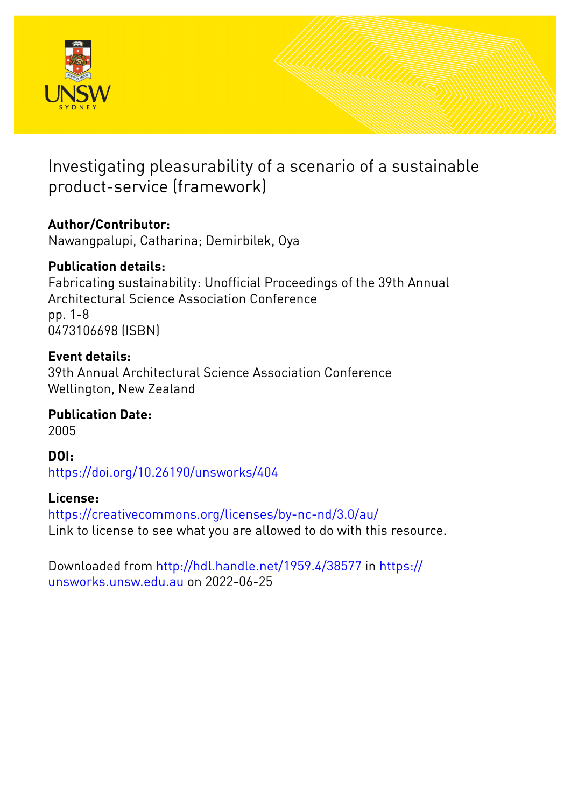

# Investigating pleasurability of a scenario of a sustainable product-service (framework)

## **Author/Contributor:**

Nawangpalupi, Catharina; Demirbilek, Oya

### **Publication details:**

Fabricating sustainability: Unofficial Proceedings of the 39th Annual Architectural Science Association Conference pp. 1-8 0473106698 (ISBN)

### **Event details:**

39th Annual Architectural Science Association Conference Wellington, New Zealand

## **Publication Date:**

2005

### **DOI:** [https://doi.org/10.26190/unsworks/404](http://dx.doi.org/https://doi.org/10.26190/unsworks/404)

### **License:**

<https://creativecommons.org/licenses/by-nc-nd/3.0/au/> Link to license to see what you are allowed to do with this resource.

Downloaded from <http://hdl.handle.net/1959.4/38577> in [https://](https://unsworks.unsw.edu.au) [unsworks.unsw.edu.au](https://unsworks.unsw.edu.au) on 2022-06-25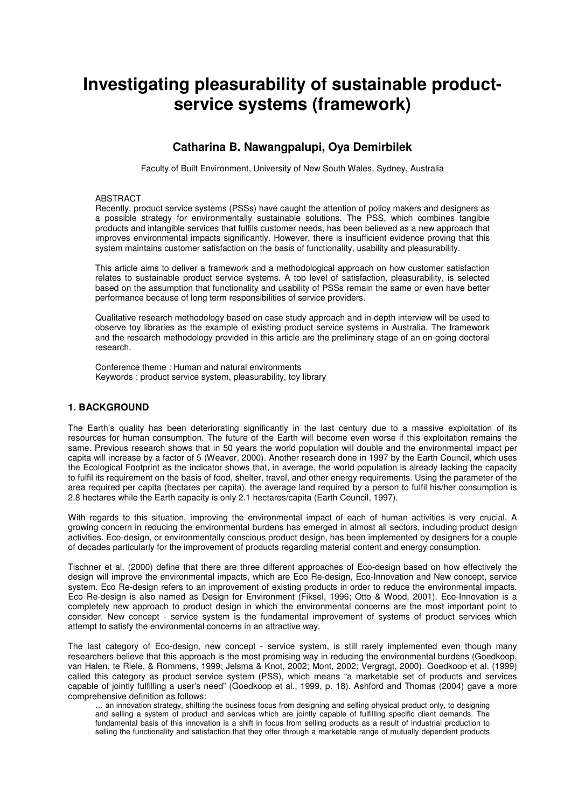## **Investigating pleasurability of sustainable productservice systems (framework)**

### **Catharina B. Nawangpalupi, Oya Demirbilek**

Faculty of Built Environment, University of New South Wales, Sydney, Australia

#### ABSTRACT

Recently, product service systems (PSSs) have caught the attention of policy makers and designers as a possible strategy for environmentally sustainable solutions. The PSS, which combines tangible products and intangible services that fulfils customer needs, has been believed as a new approach that improves environmental impacts significantly. However, there is insufficient evidence proving that this system maintains customer satisfaction on the basis of functionality, usability and pleasurability.

This article aims to deliver a framework and a methodological approach on how customer satisfaction relates to sustainable product service systems. A top level of satisfaction, pleasurability, is selected based on the assumption that functionality and usability of PSSs remain the same or even have better performance because of long term responsibilities of service providers.

Qualitative research methodology based on case study approach and in-depth interview will be used to observe toy libraries as the example of existing product service systems in Australia. The framework and the research methodology provided in this article are the preliminary stage of an on-going doctoral research.

Conference theme : Human and natural environments Keywords : product service system, pleasurability, toy library

#### **1. BACKGROUND**

The Earth's quality has been deteriorating significantly in the last century due to a massive exploitation of its resources for human consumption. The future of the Earth will become even worse if this exploitation remains the same. Previous research shows that in 50 years the world population will double and the environmental impact per capita will increase by a factor of 5 (Weaver, 2000). Another research done in 1997 by the Earth Council, which uses the Ecological Footprint as the indicator shows that, in average, the world population is already lacking the capacity to fulfil its requirement on the basis of food, shelter, travel, and other energy requirements. Using the parameter of the area required per capita (hectares per capita), the average land required by a person to fulfil his/her consumption is 2.8 hectares while the Earth capacity is only 2.1 hectares/capita (Earth Council, 1997).

With regards to this situation, improving the environmental impact of each of human activities is very crucial. A growing concern in reducing the environmental burdens has emerged in almost all sectors, including product design activities. Eco-design, or environmentally conscious product design, has been implemented by designers for a couple of decades particularly for the improvement of products regarding material content and energy consumption.

Tischner et al. (2000) define that there are three different approaches of Eco-design based on how effectively the design will improve the environmental impacts, which are Eco Re-design, Eco-Innovation and New concept, service system. Eco Re-design refers to an improvement of existing products in order to reduce the environmental impacts. Eco Re-design is also named as Design for Environment (Fiksel, 1996; Otto & Wood, 2001). Eco-Innovation is a completely new approach to product design in which the environmental concerns are the most important point to consider. New concept - service system is the fundamental improvement of systems of product services which attempt to satisfy the environmental concerns in an attractive way.

The last category of Eco-design, new concept - service system, is still rarely implemented even though many researchers believe that this approach is the most promising way in reducing the environmental burdens (Goedkoop, van Halen, te Riele, & Rommens, 1999; Jelsma & Knot, 2002; Mont, 2002; Vergragt, 2000). Goedkoop et al. (1999) called this category as product service system (PSS), which means "a marketable set of products and services capable of jointly fulfilling a user's need" (Goedkoop et al., 1999, p. 18). Ashford and Thomas (2004) gave a more comprehensive definition as follows:

… an innovation strategy, shifting the business focus from designing and selling physical product only, to designing and selling a system of product and services which are jointly capable of fulfilling specific client demands. The fundamental basis of this innovation is a shift in focus from selling products as a result of industrial production to selling the functionality and satisfaction that they offer through a marketable range of mutually dependent products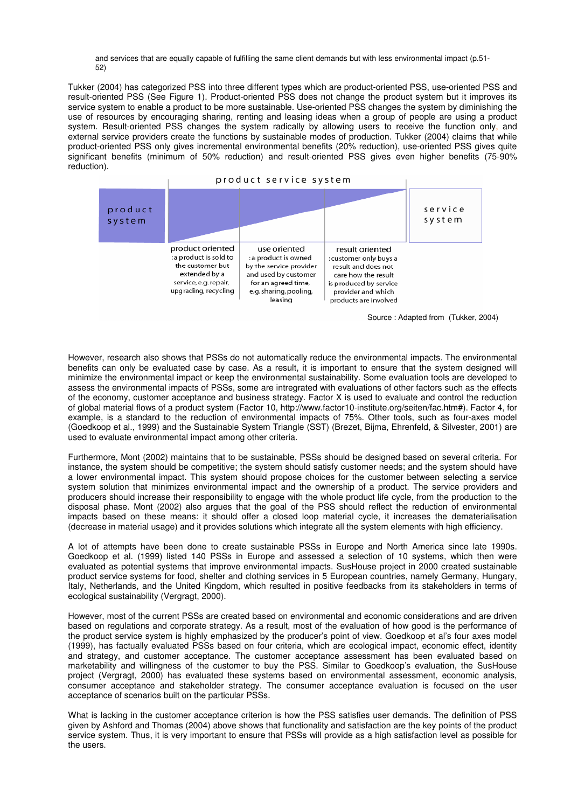and services that are equally capable of fulfilling the same client demands but with less environmental impact (p.51- 52)

Tukker (2004) has categorized PSS into three different types which are product-oriented PSS, use-oriented PSS and result-oriented PSS (See Figure 1). Product-oriented PSS does not change the product system but it improves its service system to enable a product to be more sustainable. Use-oriented PSS changes the system by diminishing the use of resources by encouraging sharing, renting and leasing ideas when a group of people are using a product system. Result-oriented PSS changes the system radically by allowing users to receive the function only, and external service providers create the functions by sustainable modes of production. Tukker (2004) claims that while product-oriented PSS only gives incremental environmental benefits (20% reduction), use-oriented PSS gives quite significant benefits (minimum of 50% reduction) and result-oriented PSS gives even higher benefits (75-90% reduction).



| product<br>system |                                                                                                                                  |                                                                                                                                                     |                                                                                                                                                                  | service<br>system |
|-------------------|----------------------------------------------------------------------------------------------------------------------------------|-----------------------------------------------------------------------------------------------------------------------------------------------------|------------------------------------------------------------------------------------------------------------------------------------------------------------------|-------------------|
|                   | product oriented<br>: a product is sold to<br>the customer but<br>extended by a<br>service, e.g. repair,<br>upgrading, recycling | use oriented<br>: a product is owned<br>by the service provider<br>and used by customer<br>for an agreed time,<br>e.g. sharing, pooling,<br>leasing | result oriented<br>: customer only buys a<br>result and does not<br>care how the result<br>is produced by service<br>provider and which<br>products are involved |                   |

Source : Adapted from (Tukker, 2004)

However, research also shows that PSSs do not automatically reduce the environmental impacts. The environmental benefits can only be evaluated case by case. As a result, it is important to ensure that the system designed will minimize the environmental impact or keep the environmental sustainability. Some evaluation tools are developed to assess the environmental impacts of PSSs, some are intregrated with evaluations of other factors such as the effects of the economy, customer acceptance and business strategy. Factor X is used to evaluate and control the reduction of global material flows of a product system (Factor 10, http://www.factor10-institute.org/seiten/fac.htm#). Factor 4, for example, is a standard to the reduction of environmental impacts of 75%. Other tools, such as four-axes model (Goedkoop et al., 1999) and the Sustainable System Triangle (SST) (Brezet, Bijma, Ehrenfeld, & Silvester, 2001) are used to evaluate environmental impact among other criteria.

Furthermore, Mont (2002) maintains that to be sustainable, PSSs should be designed based on several criteria. For instance, the system should be competitive; the system should satisfy customer needs; and the system should have a lower environmental impact. This system should propose choices for the customer between selecting a service system solution that minimizes environmental impact and the ownership of a product. The service providers and producers should increase their responsibility to engage with the whole product life cycle, from the production to the disposal phase. Mont (2002) also argues that the goal of the PSS should reflect the reduction of environmental impacts based on these means: it should offer a closed loop material cycle, it increases the dematerialisation (decrease in material usage) and it provides solutions which integrate all the system elements with high efficiency.

A lot of attempts have been done to create sustainable PSSs in Europe and North America since late 1990s. Goedkoop et al. (1999) listed 140 PSSs in Europe and assessed a selection of 10 systems, which then were evaluated as potential systems that improve environmental impacts. SusHouse project in 2000 created sustainable product service systems for food, shelter and clothing services in 5 European countries, namely Germany, Hungary, Italy, Netherlands, and the United Kingdom, which resulted in positive feedbacks from its stakeholders in terms of ecological sustainability (Vergragt, 2000).

However, most of the current PSSs are created based on environmental and economic considerations and are driven based on regulations and corporate strategy. As a result, most of the evaluation of how good is the performance of the product service system is highly emphasized by the producer's point of view. Goedkoop et al's four axes model (1999), has factually evaluated PSSs based on four criteria, which are ecological impact, economic effect, identity and strategy, and customer acceptance. The customer acceptance assessment has been evaluated based on marketability and willingness of the customer to buy the PSS. Similar to Goedkoop's evaluation, the SusHouse project (Vergragt, 2000) has evaluated these systems based on environmental assessment, economic analysis, consumer acceptance and stakeholder strategy. The consumer acceptance evaluation is focused on the user acceptance of scenarios built on the particular PSSs.

What is lacking in the customer acceptance criterion is how the PSS satisfies user demands. The definition of PSS given by Ashford and Thomas (2004) above shows that functionality and satisfaction are the key points of the product service system. Thus, it is very important to ensure that PSSs will provide as a high satisfaction level as possible for the users.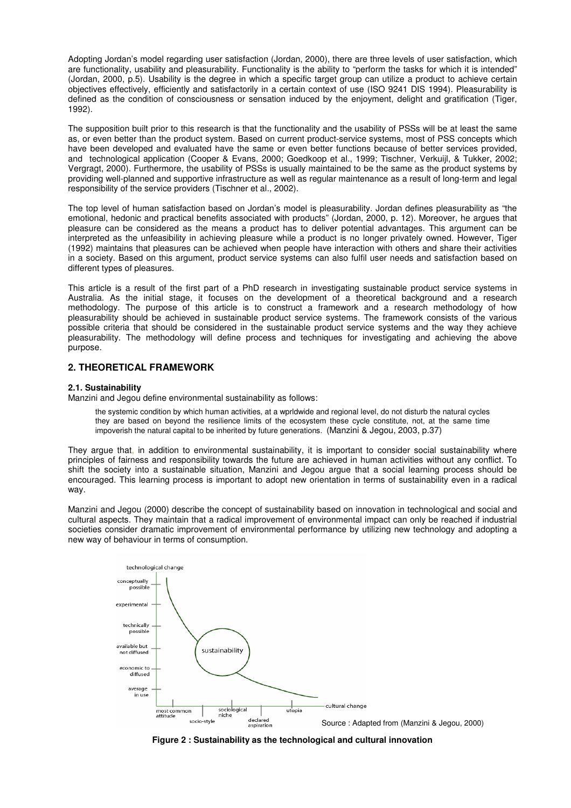Adopting Jordan's model regarding user satisfaction (Jordan, 2000), there are three levels of user satisfaction, which are functionality, usability and pleasurability. Functionality is the ability to "perform the tasks for which it is intended" (Jordan, 2000, p.5). Usability is the degree in which a specific target group can utilize a product to achieve certain objectives effectively, efficiently and satisfactorily in a certain context of use (ISO 9241 DIS 1994). Pleasurability is defined as the condition of consciousness or sensation induced by the enjoyment, delight and gratification (Tiger, 1992).

The supposition built prior to this research is that the functionality and the usability of PSSs will be at least the same as, or even better than the product system. Based on current product-service systems, most of PSS concepts which have been developed and evaluated have the same or even better functions because of better services provided, and technological application (Cooper & Evans, 2000; Goedkoop et al., 1999; Tischner, Verkuijl, & Tukker, 2002; Vergragt, 2000). Furthermore, the usability of PSSs is usually maintained to be the same as the product systems by providing well-planned and supportive infrastructure as well as regular maintenance as a result of long-term and legal responsibility of the service providers (Tischner et al., 2002).

The top level of human satisfaction based on Jordan's model is pleasurability. Jordan defines pleasurability as "the emotional, hedonic and practical benefits associated with products" (Jordan, 2000, p. 12). Moreover, he argues that pleasure can be considered as the means a product has to deliver potential advantages. This argument can be interpreted as the unfeasibility in achieving pleasure while a product is no longer privately owned. However, Tiger (1992) maintains that pleasures can be achieved when people have interaction with others and share their activities in a society. Based on this argument, product service systems can also fulfil user needs and satisfaction based on different types of pleasures.

This article is a result of the first part of a PhD research in investigating sustainable product service systems in Australia. As the initial stage, it focuses on the development of a theoretical background and a research methodology. The purpose of this article is to construct a framework and a research methodology of how pleasurability should be achieved in sustainable product service systems. The framework consists of the various possible criteria that should be considered in the sustainable product service systems and the way they achieve pleasurability. The methodology will define process and techniques for investigating and achieving the above purpose.

#### **2. THEORETICAL FRAMEWORK**

#### **2.1. Sustainability**

Manzini and Jegou define environmental sustainability as follows:

the systemic condition by which human activities, at a wprldwide and regional level, do not disturb the natural cycles they are based on beyond the resilience limits of the ecosystem these cycle constitute, not, at the same time impoverish the natural capital to be inherited by future generations. (Manzini & Jegou, 2003, p.37)

They argue that, in addition to environmental sustainability, it is important to consider social sustainability where principles of fairness and responsibility towards the future are achieved in human activities without any conflict. To shift the society into a sustainable situation, Manzini and Jegou argue that a social learning process should be encouraged. This learning process is important to adopt new orientation in terms of sustainability even in a radical way.

Manzini and Jegou (2000) describe the concept of sustainability based on innovation in technological and social and cultural aspects. They maintain that a radical improvement of environmental impact can only be reached if industrial societies consider dramatic improvement of environmental performance by utilizing new technology and adopting a new way of behaviour in terms of consumption.



**Figure 2 : Sustainability as the technological and cultural innovation**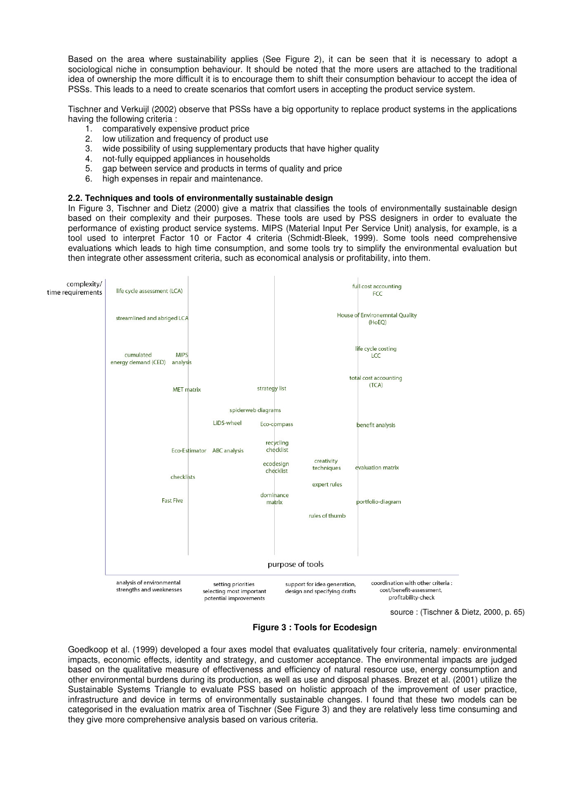Based on the area where sustainability applies (See Figure 2), it can be seen that it is necessary to adopt a sociological niche in consumption behaviour. It should be noted that the more users are attached to the traditional idea of ownership the more difficult it is to encourage them to shift their consumption behaviour to accept the idea of PSSs. This leads to a need to create scenarios that comfort users in accepting the product service system.

Tischner and Verkuijl (2002) observe that PSSs have a big opportunity to replace product systems in the applications having the following criteria :

- 1. comparatively expensive product price
- 2. low utilization and frequency of product use
- 3. wide possibility of using supplementary products that have higher quality
- 4. not-fully equipped appliances in households
- 5. gap between service and products in terms of quality and price<br>6. bigh expenses in repair and maintenance.
- high expenses in repair and maintenance.

#### **2.2. Techniques and tools of environmentally sustainable design**

In Figure 3, Tischner and Dietz (2000) give a matrix that classifies the tools of environmentally sustainable design based on their complexity and their purposes. These tools are used by PSS designers in order to evaluate the performance of existing product service systems. MIPS (Material Input Per Service Unit) analysis, for example, is a tool used to interpret Factor 10 or Factor 4 criteria (Schmidt-Bleek, 1999). Some tools need comprehensive evaluations which leads to high time consumption, and some tools try to simplify the environmental evaluation but then integrate other assessment criteria, such as economical analysis or profitability, into them.



source : (Tischner & Dietz, 2000, p. 65)

**Figure 3 : Tools for Ecodesign**

Goedkoop et al. (1999) developed a four axes model that evaluates qualitatively four criteria, namely: environmental impacts, economic effects, identity and strategy, and customer acceptance. The environmental impacts are judged based on the qualitative measure of effectiveness and efficiency of natural resource use, energy consumption and other environmental burdens during its production, as well as use and disposal phases. Brezet et al. (2001) utilize the Sustainable Systems Triangle to evaluate PSS based on holistic approach of the improvement of user practice, infrastructure and device in terms of environmentally sustainable changes. I found that these two models can be categorised in the evaluation matrix area of Tischner (See Figure 3) and they are relatively less time consuming and they give more comprehensive analysis based on various criteria.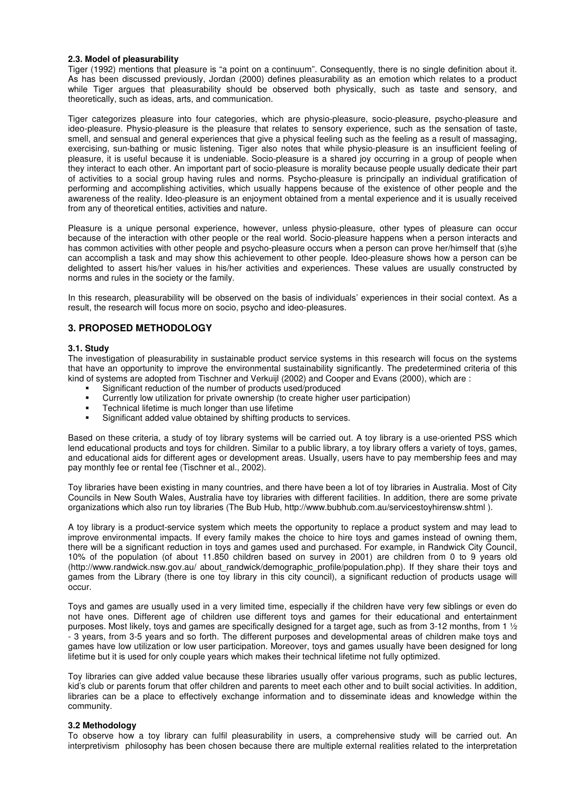#### **2.3. Model of pleasurability**

Tiger (1992) mentions that pleasure is "a point on a continuum". Consequently, there is no single definition about it. As has been discussed previously, Jordan (2000) defines pleasurability as an emotion which relates to a product while Tiger argues that pleasurability should be observed both physically, such as taste and sensory, and theoretically, such as ideas, arts, and communication.

Tiger categorizes pleasure into four categories, which are physio-pleasure, socio-pleasure, psycho-pleasure and ideo-pleasure. Physio-pleasure is the pleasure that relates to sensory experience, such as the sensation of taste, smell, and sensual and general experiences that give a physical feeling such as the feeling as a result of massaging, exercising, sun-bathing or music listening. Tiger also notes that while physio-pleasure is an insufficient feeling of pleasure, it is useful because it is undeniable. Socio-pleasure is a shared joy occurring in a group of people when they interact to each other. An important part of socio-pleasure is morality because people usually dedicate their part of activities to a social group having rules and norms. Psycho-pleasure is principally an individual gratification of performing and accomplishing activities, which usually happens because of the existence of other people and the awareness of the reality. Ideo-pleasure is an enjoyment obtained from a mental experience and it is usually received from any of theoretical entities, activities and nature.

Pleasure is a unique personal experience, however, unless physio-pleasure, other types of pleasure can occur because of the interaction with other people or the real world. Socio-pleasure happens when a person interacts and has common activities with other people and psycho-pleasure occurs when a person can prove her/himself that (s)he can accomplish a task and may show this achievement to other people. Ideo-pleasure shows how a person can be delighted to assert his/her values in his/her activities and experiences. These values are usually constructed by norms and rules in the society or the family.

In this research, pleasurability will be observed on the basis of individuals' experiences in their social context. As a result, the research will focus more on socio, psycho and ideo-pleasures.

#### **3. PROPOSED METHODOLOGY**

#### **3.1. Study**

The investigation of pleasurability in sustainable product service systems in this research will focus on the systems that have an opportunity to improve the environmental sustainability significantly. The predetermined criteria of this kind of systems are adopted from Tischner and Verkuijl (2002) and Cooper and Evans (2000), which are :

- Significant reduction of the number of products used/produced
- Currently low utilization for private ownership (to create higher user participation)
- **Technical lifetime is much longer than use lifetime**
- Significant added value obtained by shifting products to services.

Based on these criteria, a study of toy library systems will be carried out. A toy library is a use-oriented PSS which lend educational products and toys for children. Similar to a public library, a toy library offers a variety of toys, games, and educational aids for different ages or development areas. Usually, users have to pay membership fees and may pay monthly fee or rental fee (Tischner et al., 2002).

Toy libraries have been existing in many countries, and there have been a lot of toy libraries in Australia. Most of City Councils in New South Wales, Australia have toy libraries with different facilities. In addition, there are some private organizations which also run toy libraries (The Bub Hub, http://www.bubhub.com.au/servicestoyhirensw.shtml ).

A toy library is a product-service system which meets the opportunity to replace a product system and may lead to improve environmental impacts. If every family makes the choice to hire toys and games instead of owning them, there will be a significant reduction in toys and games used and purchased. For example, in Randwick City Council, 10% of the population (of about 11.850 children based on survey in 2001) are children from 0 to 9 years old (http://www.randwick.nsw.gov.au/ about randwick/demographic profile/population.php). If they share their toys and games from the Library (there is one toy library in this city council), a significant reduction of products usage will occur.

Toys and games are usually used in a very limited time, especially if the children have very few siblings or even do not have ones. Different age of children use different toys and games for their educational and entertainment purposes. Most likely, toys and games are specifically designed for a target age, such as from 3-12 months, from 1 ½ - 3 years, from 3-5 years and so forth. The different purposes and developmental areas of children make toys and games have low utilization or low user participation. Moreover, toys and games usually have been designed for long lifetime but it is used for only couple years which makes their technical lifetime not fully optimized.

Toy libraries can give added value because these libraries usually offer various programs, such as public lectures, kid's club or parents forum that offer children and parents to meet each other and to built social activities. In addition, libraries can be a place to effectively exchange information and to disseminate ideas and knowledge within the community.

#### **3.2 Methodology**

To observe how a toy library can fulfil pleasurability in users, a comprehensive study will be carried out. An interpretivism philosophy has been chosen because there are multiple external realities related to the interpretation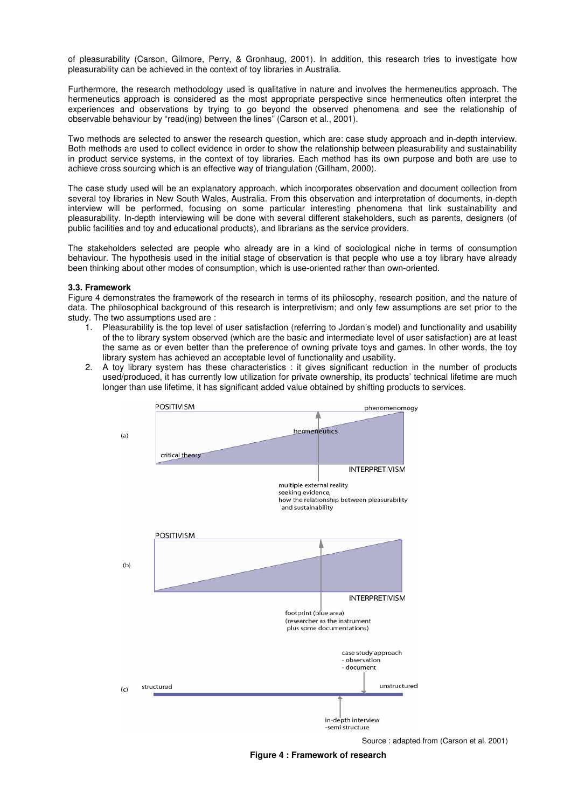of pleasurability (Carson, Gilmore, Perry, & Gronhaug, 2001). In addition, this research tries to investigate how pleasurability can be achieved in the context of toy libraries in Australia.

Furthermore, the research methodology used is qualitative in nature and involves the hermeneutics approach. The hermeneutics approach is considered as the most appropriate perspective since hermeneutics often interpret the experiences and observations by trying to go beyond the observed phenomena and see the relationship of observable behaviour by "read(ing) between the lines" (Carson et al., 2001).

Two methods are selected to answer the research question, which are: case study approach and in-depth interview. Both methods are used to collect evidence in order to show the relationship between pleasurability and sustainability in product service systems, in the context of toy libraries. Each method has its own purpose and both are use to achieve cross sourcing which is an effective way of triangulation (Gillham, 2000).

The case study used will be an explanatory approach, which incorporates observation and document collection from several toy libraries in New South Wales, Australia. From this observation and interpretation of documents, in-depth interview will be performed, focusing on some particular interesting phenomena that link sustainability and pleasurability. In-depth interviewing will be done with several different stakeholders, such as parents, designers (of public facilities and toy and educational products), and librarians as the service providers.

The stakeholders selected are people who already are in a kind of sociological niche in terms of consumption behaviour. The hypothesis used in the initial stage of observation is that people who use a toy library have already been thinking about other modes of consumption, which is use-oriented rather than own-oriented.

#### **3.3. Framework**

Figure 4 demonstrates the framework of the research in terms of its philosophy, research position, and the nature of data. The philosophical background of this research is interpretivism; and only few assumptions are set prior to the study. The two assumptions used are :

- 1. Pleasurability is the top level of user satisfaction (referring to Jordan's model) and functionality and usability of the to library system observed (which are the basic and intermediate level of user satisfaction) are at least the same as or even better than the preference of owning private toys and games. In other words, the toy library system has achieved an acceptable level of functionality and usability.
- 2. A toy library system has these characteristics : it gives significant reduction in the number of products used/produced, it has currently low utilization for private ownership, its products' technical lifetime are much longer than use lifetime, it has significant added value obtained by shifting products to services.



Source : adapted from (Carson et al. 2001)

**Figure 4 : Framework of research**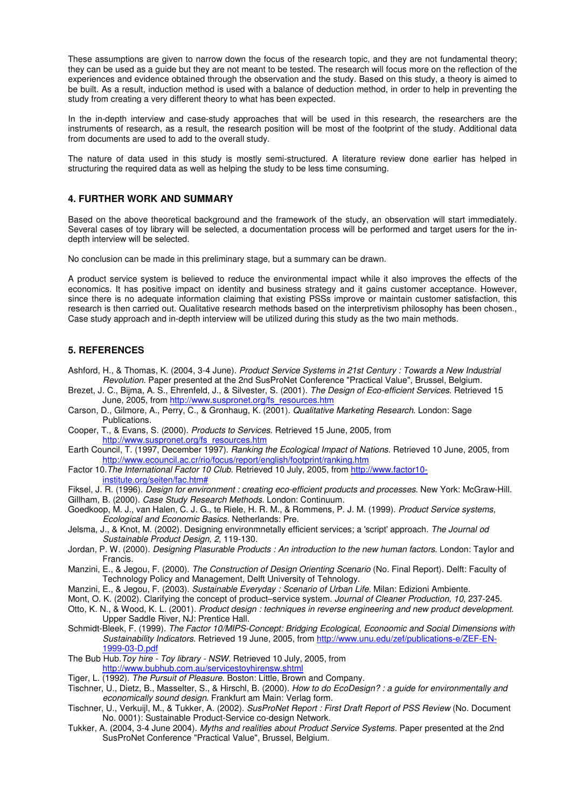These assumptions are given to narrow down the focus of the research topic, and they are not fundamental theory; they can be used as a guide but they are not meant to be tested. The research will focus more on the reflection of the experiences and evidence obtained through the observation and the study. Based on this study, a theory is aimed to be built. As a result, induction method is used with a balance of deduction method, in order to help in preventing the study from creating a very different theory to what has been expected.

In the in-depth interview and case-study approaches that will be used in this research, the researchers are the instruments of research, as a result, the research position will be most of the footprint of the study. Additional data from documents are used to add to the overall study.

The nature of data used in this study is mostly semi-structured. A literature review done earlier has helped in structuring the required data as well as helping the study to be less time consuming.

#### **4. FURTHER WORK AND SUMMARY**

Based on the above theoretical background and the framework of the study, an observation will start immediately. Several cases of toy library will be selected, a documentation process will be performed and target users for the indepth interview will be selected.

No conclusion can be made in this preliminary stage, but a summary can be drawn.

A product service system is believed to reduce the environmental impact while it also improves the effects of the economics. It has positive impact on identity and business strategy and it gains customer acceptance. However, since there is no adequate information claiming that existing PSSs improve or maintain customer satisfaction, this research is then carried out. Qualitative research methods based on the interpretivism philosophy has been chosen., Case study approach and in-depth interview will be utilized during this study as the two main methods.

#### **5. REFERENCES**

- Ashford, H., & Thomas, K. (2004, 3-4 June). *Product Service Systems in 21st Century : Towards a New Industrial Revolution.* Paper presented at the 2nd SusProNet Conference "Practical Value", Brussel, Belgium.
- Brezet, J. C., Bijma, A. S., Ehrenfeld, J., & Silvester, S. (2001). *The Design of Eco-efficient Services*. Retrieved 15 June, 2005, from http://www.suspronet.org/fs\_resources.htm
- Carson, D., Gilmore, A., Perry, C., & Gronhaug, K. (2001). *Qualitative Marketing Research*. London: Sage Publications.
- Cooper, T., & Evans, S. (2000). *Products to Services*. Retrieved 15 June, 2005, from http://www.suspronet.org/fs\_resources.htm
- Earth Council, T. (1997, December 1997). *Ranking the Ecological Impact of Nations*. Retrieved 10 June, 2005, from http://www.ecouncil.ac.cr/rio/focus/report/english/footprint/ranking.htm
- Factor 10.*The International Factor 10 Club*. Retrieved 10 July, 2005, from http://www.factor10 institute.org/seiten/fac.htm#
- Fiksel, J. R. (1996). *Design for environment : creating eco-efficient products and processes*. New York: McGraw-Hill.
- Gillham, B. (2000). *Case Study Research Methods*. London: Continuum. Goedkoop, M. J., van Halen, C. J. G., te Riele, H. R. M., & Rommens, P. J. M. (1999). *Product Service systems,*
- *Ecological and Economic Basics*. Netherlands: Pre. Jelsma, J., & Knot, M. (2002). Designing environmnetally efficient services; a 'script'approach. *The Journal od*
- *Sustainable Product Design, 2*, 119-130. Jordan, P. W. (2000). *Designing Plasurable Products : An introduction to the new human factors*. London: Taylor and
- Francis. Manzini, E., & Jegou, F. (2000). *The Construction of Design Orienting Scenario* (No. Final Report). Delft: Faculty of Technology Policy and Management, Delft University of Tehnology.
- Manzini, E., & Jegou, F. (2003). *Sustainable Everyday : Scenario of Urban Life*. Milan: Edizioni Ambiente.
- Mont, O. K. (2002). Clarifying the concept of product–service system. *Journal of Cleaner Production, 10*, 237-245.
- Otto, K. N., & Wood, K. L. (2001). *Product design : techniques in reverse engineering and new product development*. Upper Saddle River, NJ: Prentice Hall.
- Schmidt-Bleek, F. (1999). *The Factor 10/MIPS-Concept: Bridging Ecological, Econoomic and Social Dimensions with Sustainability Indicators*. Retrieved 19 June, 2005, from http://www.unu.edu/zef/publications-e/ZEF-EN-1999-03-D.pdf

The Bub Hub.*Toy hire - Toy library - NSW*. Retrieved 10 July, 2005, from http://www.bubhub.com.au/servicestoyhirensw.shtml

Tiger, L. (1992). *The Pursuit of Pleasure*. Boston: Little, Brown and Company.

- Tischner, U., Dietz, B., Masselter, S., & Hirschl, B. (2000). *How to do EcoDesign? : a guide for environmentally and economically sound design*. Frankfurt am Main: Verlag form.
- Tischner, U., Verkuijl, M., & Tukker, A. (2002). *SusProNet Report : First Draft Report of PSS Review* (No. Document No. 0001): Sustainable Product-Service co-design Network.
- Tukker, A. (2004, 3-4 June 2004). *Myths and realities about Product Service Systems.* Paper presented at the 2nd SusProNet Conference "Practical Value", Brussel, Belgium.